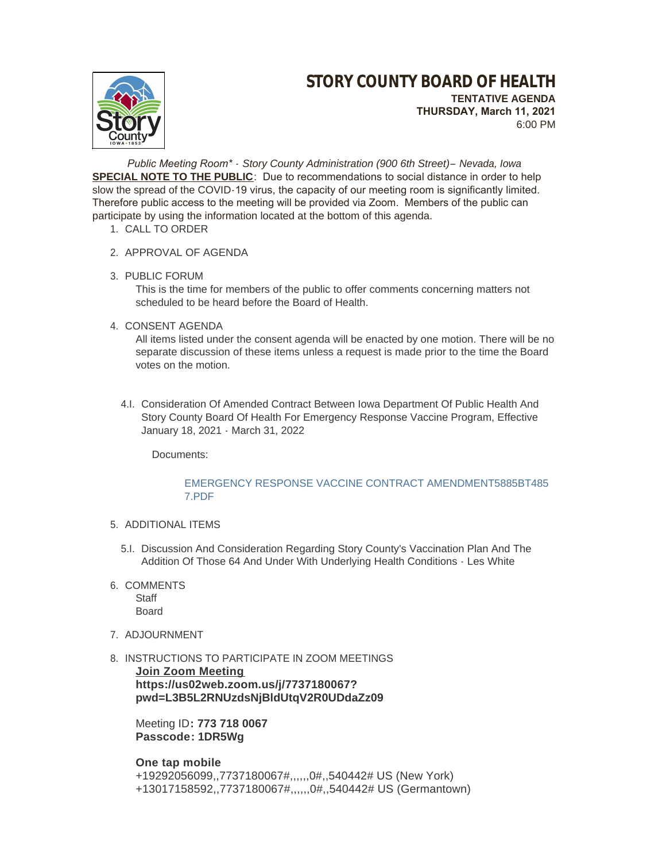

 *Public Meeting Room\* - Story County Administration (900 6th Street)– Nevada, Iowa* **SPECIAL NOTE TO THE PUBLIC**: Due to recommendations to social distance in order to help slow the spread of the COVID-19 virus, the capacity of our meeting room is significantly limited. Therefore public access to the meeting will be provided via Zoom. Members of the public can participate by using the information located at the bottom of this agenda.

- 1. CALL TO ORDER
- 2. APPROVAL OF AGENDA
- 3. PUBLIC FORUM

This is the time for members of the public to offer comments concerning matters not scheduled to be heard before the Board of Health.

4. CONSENT AGENDA

All items listed under the consent agenda will be enacted by one motion. There will be no separate discussion of these items unless a request is made prior to the time the Board votes on the motion.

4.I. Consideration Of Amended Contract Between Iowa Department Of Public Health And Story County Board Of Health For Emergency Response Vaccine Program, Effective January 18, 2021 - March 31, 2022

Documents:

## [EMERGENCY RESPONSE VACCINE CONTRACT AMENDMENT5885BT485](http://www.storycountyiowa.gov/AgendaCenter/ViewFile/Item/20358?fileID=15390)  7.PDF

- 5. ADDITIONAL ITEMS
	- 5.I. Discussion And Consideration Regarding Story County's Vaccination Plan And The Addition Of Those 64 And Under With Underlying Health Conditions - Les White
- 6. COMMENTS

**Staff** Board

- 7. ADJOURNMENT
- 8. INSTRUCTIONS TO PARTICIPATE IN ZOOM MEETINGS

**Join Zoom Meeting https://us02web.zoom.us/j/7737180067? pwd=L3B5L2RNUzdsNjBldUtqV2R0UDdaZz09**

Meeting ID**: 773 718 0067 Passcode: 1DR5Wg**

# **One tap mobile**

+19292056099,,7737180067#,,,,,,0#,,540442# US (New York) +13017158592,,7737180067#,,,,,,0#,,540442# US (Germantown)